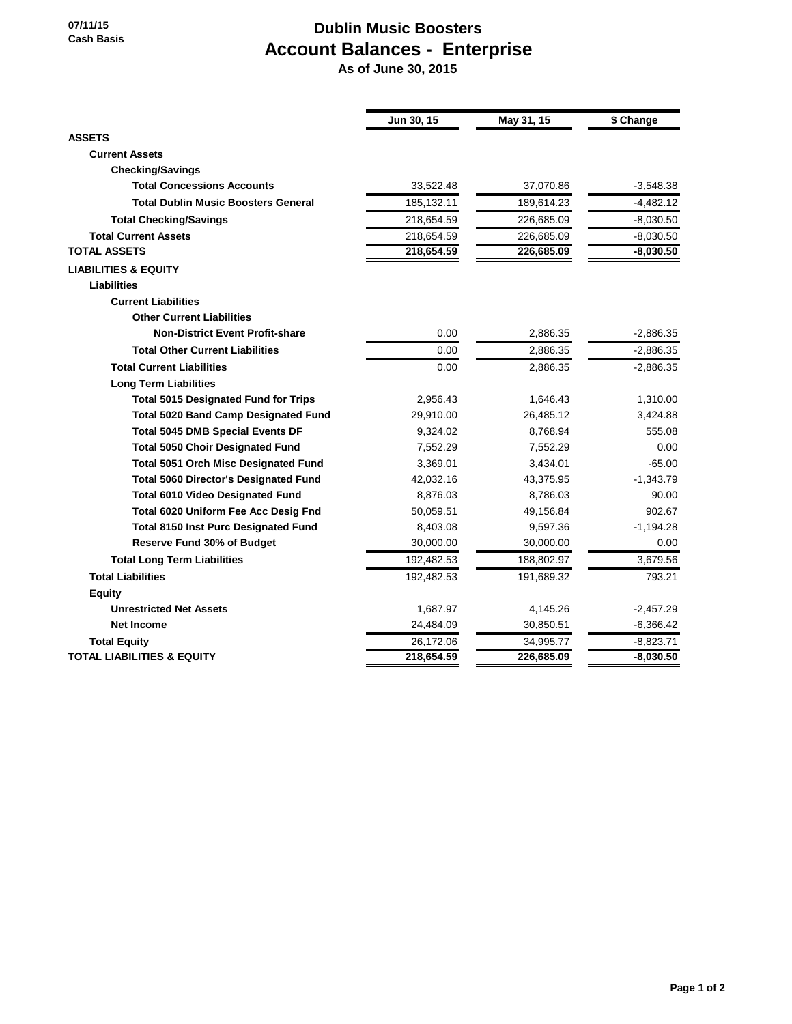## **Dublin Music Boosters Account Balances - Enterprise**

 **As of June 30, 2015**

|                                              | Jun 30, 15 | May 31, 15 | \$ Change   |
|----------------------------------------------|------------|------------|-------------|
| <b>ASSETS</b>                                |            |            |             |
| <b>Current Assets</b>                        |            |            |             |
| <b>Checking/Savings</b>                      |            |            |             |
| <b>Total Concessions Accounts</b>            | 33,522.48  | 37,070.86  | $-3,548.38$ |
| <b>Total Dublin Music Boosters General</b>   | 185,132.11 | 189,614.23 | $-4,482.12$ |
| <b>Total Checking/Savings</b>                | 218,654.59 | 226,685.09 | $-8,030.50$ |
| <b>Total Current Assets</b>                  | 218,654.59 | 226,685.09 | $-8,030.50$ |
| <b>TOTAL ASSETS</b>                          | 218,654.59 | 226,685.09 | $-8,030.50$ |
| <b>LIABILITIES &amp; EQUITY</b>              |            |            |             |
| <b>Liabilities</b>                           |            |            |             |
| <b>Current Liabilities</b>                   |            |            |             |
| <b>Other Current Liabilities</b>             |            |            |             |
| <b>Non-District Event Profit-share</b>       | 0.00       | 2,886.35   | $-2,886.35$ |
| <b>Total Other Current Liabilities</b>       | 0.00       | 2,886.35   | $-2,886.35$ |
| <b>Total Current Liabilities</b>             | 0.00       | 2,886.35   | $-2,886.35$ |
| <b>Long Term Liabilities</b>                 |            |            |             |
| <b>Total 5015 Designated Fund for Trips</b>  | 2.956.43   | 1,646.43   | 1,310.00    |
| <b>Total 5020 Band Camp Designated Fund</b>  | 29,910.00  | 26,485.12  | 3,424.88    |
| <b>Total 5045 DMB Special Events DF</b>      | 9,324.02   | 8,768.94   | 555.08      |
| <b>Total 5050 Choir Designated Fund</b>      | 7,552.29   | 7,552.29   | 0.00        |
| <b>Total 5051 Orch Misc Designated Fund</b>  | 3,369.01   | 3,434.01   | $-65.00$    |
| <b>Total 5060 Director's Designated Fund</b> | 42,032.16  | 43,375.95  | $-1,343.79$ |
| <b>Total 6010 Video Designated Fund</b>      | 8,876.03   | 8,786.03   | 90.00       |
| Total 6020 Uniform Fee Acc Desig Fnd         | 50,059.51  | 49,156.84  | 902.67      |
| <b>Total 8150 Inst Purc Designated Fund</b>  | 8,403.08   | 9,597.36   | $-1,194.28$ |
| <b>Reserve Fund 30% of Budget</b>            | 30,000.00  | 30,000.00  | 0.00        |
| <b>Total Long Term Liabilities</b>           | 192,482.53 | 188,802.97 | 3,679.56    |
| <b>Total Liabilities</b>                     | 192,482.53 | 191,689.32 | 793.21      |
| <b>Equity</b>                                |            |            |             |
| <b>Unrestricted Net Assets</b>               | 1,687.97   | 4,145.26   | $-2,457.29$ |
| <b>Net Income</b>                            | 24,484.09  | 30,850.51  | $-6,366.42$ |
| <b>Total Equity</b>                          | 26,172.06  | 34,995.77  | $-8,823.71$ |
| TOTAL LIABILITIES & EQUITY                   | 218,654.59 | 226,685.09 | $-8,030.50$ |